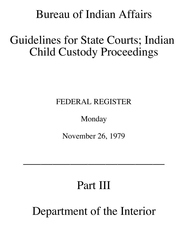# Bureau of Indian Affairs

# Guidelines for State Courts; Indian Child Custody Proceedings

!

# FEDERAL REGISTER

# Monday

November 26, 1979

 $\mathcal{L}_\text{max}$  and  $\mathcal{L}_\text{max}$  are the set of  $\mathcal{L}_\text{max}$  and  $\mathcal{L}_\text{max}$  are the set of  $\mathcal{L}_\text{max}$ 

# Part III

Department of the Interior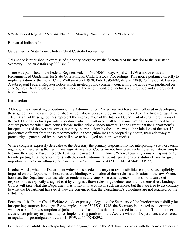67584 Federal Register / Vol. 44, No. 228 / Monday, November 26, 1979 / Notices

Bureau of Indian Affairs

Guidelines for State Courts; Indian Child Custody Proceedings

This notice is published in exercise of authority delegated by the Secretary of the Interior to the Assistant Secretary – Indian Affairs by 209 DM 8.

There was published in the Federal Register, vol. 44, No. 70/Monday, April 23, 1979 a notice entitled Recommended Guidelines for State Courts-Indian Child Custody Proceedings. This notice pertained directly to implementation of the Indian Child Welfare Act of 1978, Pub. L. 95-608, 92 Stat. 3069, 25 U.S.C. 1901 et seq. A subsequent Federal Register notice which invited public comment concerning the above was published on June 5, 1979. As a result of comments received, the recommended guidelines were revised and are provided below in final form.

 $\mathcal{L}_\text{max}$  and  $\mathcal{L}_\text{max}$  are the set of  $\mathcal{L}_\text{max}$  and  $\mathcal{L}_\text{max}$  are the set of  $\mathcal{L}_\text{max}$ 

#### Introduction

Although the rulemaking procedures of the Administration Procedures Act have been followed in developing these guidelines, they are not published as regulations because they are not intended to have binding legislative effect. Many of these guidelines represent the interpretation of the Interior Department of certain provisions of the Act. Other guidelines provide procedures which, if followed, will help assure that rights guaranteed by the Act are protected when state courts decide Indian child custody matters. To the extent that the Department's interpretations of the Act are correct, contrary interpretations by the courts would be violations of the Act. If procedures different from those recommended in these guidelines are adopted by a state, their adequacy to protect rights guaranteed by the Act will have to be judged on their own merits.

Where congress expressly delegates to the Secretary the primary responsibility for interpreting a statutory term, regulations interpreting that term have legislative effect. Courts are not free to set aside those regulations simply because they would have interpreted that statute in a different manner. Where, however, primary responsibility for interpreting a statutory term rests with the courts, administrative interpretations of statutory terms are given important but not controlling significance. *Batterton v. Francis*, 432 U.S. 416, 424-425 (1977)

In other words, when the Department writes rules needed to carry out responsibilities congress has explicitly imposed on the Department, those rules are binding. A violation of those rules is a violation of the law. When, however, the Department writes rules or guidelines advising some other agency how it should carry out responsibilities explicitly assigned to it by congress, those rules or guidelines are not, by themselves, binding. Courts will take what this Department has to say into account in such instances, but they are free to act contrary to what the Department has said if they are convinced that the Department's guidelines are not required by the statute itself.

Portions of the Indian Child Welfare Act do expressly delegate to the Secretary of the Interior responsibility for interpreting statutory language. For example, under 25 U.S.C. 1918, the Secretary is directed to determine whether a plan for reassumption of jurisdiction is "feasible" as that term is used in the statute. This and other areas where primary responsibility for implementing portions of the Act rest with this Department, are covered in regulations promulgated on July 31, 1979, at 44 FR 45092.

Primary responsibility for interpreting other language used in the Act, however, rests with the courts that decide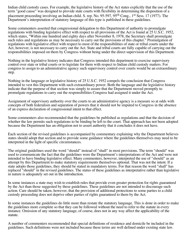Indian child custody cases. For example, the legislative history of the Act states explicitly that the use of the term "good cause" was designed to provide state courts with flexibility in determining the disposition of a placement proceeding involving an Indian child. S. rep. No. 95-597, 95<sup>th</sup> Cong., 1<sup>st</sup> Sess. 17 (1977). The Department's interpretation of statutory language of this type is published in these guidelines.

Some commenters asserted that congressional delegation to this Department of authority to promulgate regulations with binding legislative effect with respect to all provisions of the Act is found at 25 U.S.C. 1952, which states, "Within one hundred and eighty days after November 8, 1978, the Secretary shall promulgate such rules and regulations as may be necessary to carry out the provisions of this chapter." Promulgation of regulations with legislative effect with respect to most of the responsibilities of state or tribal courts under the Act, however, is not necessary to carry out the Act. State and tribal courts are fully capable of carrying out the responsibilities imposed on them by Congress without being under the direct supervision of this Department.

Nothing in the legislative history indicates that Congress intended this department to exercise supervisory control over state or tribal courts or to legislate for them with respect to Indian child custody matters. For congress to assign to an administrative agency such supervisory control over courts would be an extraordinary step.

Nothing in the language or legislative history of 25 U.S.C. 1952 compels the conclusion that Congress intended to vest this Department with such extraordinary power. Both the language and the legislative history indicate that the purpose of that section was simply to assure that the Department moved promptly to promulgate regulations to carry out the responsibilities Congress had assigned it under the Act.

Assignment of supervisory authority over the courts to an administrative agency is a measure so at odds with concepts of both federalism and separation of powers that it should not be imputed to Congress in the absence of an express declaration of congressional intent to that effect.

Some commenters also recommended that the guidelines be published as regulations and that the decision of whether the law permits such regulations to be binding be left to the court. That approach has not been adopted because the Department has an obligation not to assert authority that it concludes it does not have.

Each section of the revised guidelines is accompanied by commentary explaining why the Department believes states should adopt that section and to provide some guidance where the guidelines themselves may need to be interpreted in the light of specific circumstances.

The original guidelines used the word "should" instead of "shall" in most provisions. The term "should" was used to communicate the fact that the guidelines were the Department's interpretations of the Act and were not intended to have binding legislative effect. Many commenters, however, interpreted the use of "should" as an attempt by this Department to make statutory requirements themselves optional. That was not the intent. If a state adopts those guidelines, they should be stated in mandatory terms. For that reason the word "shall" has replaced "should" in the revised guidelines. The status of these guidelines as interpretative rather than legislative in nature is adequately set out in the introduction.

In some instances a state may wish to establish rules that provide even greater protection for rights guaranteed by the Act than those suggested by these guidelines. These guidelines are not intended to discourage such action. Care should be taken, however, that the provision of additional protections to some parties to a child custody proceeding does not deprive other parties of rights guaranteed to them by the Act.

In some instances the guidelines do little more than restate the statutory language. This is done in order to make the guidelines more complete so that they can be followed without the need to refer to the statute in every instance. Omission of any statutory language, of course, does not in any way affect the applicability of the statute.

A number of commenters recommended that special definitions of residence and domicile be included in the guidelines. Such definitions were not included because these terms are well defined under existing state law.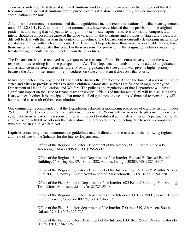There is no indication that these state law definitions tend to undermine in any way the purposes of the Act. Recommending special definitions for the purpose of this Act alone would simply provide unnecessary complication in the law.

A number of commenters recommended that the guidelines include recommendations for tribal-state agreements under 25 U.S.C. 1919. A number of other commenters, however, criticized the one provision in the original guidelines addressing that subject as tending to impose on such agreements restrictions that congress did not intend should be imposed. Because of the wide variation in the situations and attitudes of states and tribes, it is difficult to deal with that issue in the context of guidelines. The Department is currently developing materials to aid states and tribe with such agreements. The Department hopes to have those materials available later to have those materials available later this year. For these reasons, the provision in the original guidelines concerning tribal-state agreements has been deleted from the guidelines.

The Department has also received many requests for assistance from tribal courts in carrying out the new responsibilities resulting from the passage of this Act. The Department intends to provide additional guidance and assistance in the area also in the future. Providing guidance to state courts was given a higher priority because the Act imposes many more procedures on state courts than it does on tribal courts.

Many commenters have urged the Department to discuss the effect of the Act on the financial responsibilities of states and tribes to provide services to Indian children. Many such services are funded in large part by the Department of Health, Education, and Welfare. The policies and regulations of that Department will have a significant impact on the issue of financial responsibility. Officials of Interior and HEW will be discussing this issue with each other. It is anticipated that more detailed guidance on questions of financial responsibility will be provided as a result of those consultations.

One commenter recommended that the Department establish a monitoring procedure of exercise its right under 25 U.S.C. 1915(e) to review state court placement records. HEW currently reviews state placement records on a systematic basis as part of its responsibilities with respect to statutes it administers. Interior Department officials are discussing with HEW officials the establishment of a procedure for collecting data to review compliance with the Indian Child Welfare Act.

Inquiries concerning these recommended guidelines may be directed to the nearest of the following regional and field offices of the Solicitor for the Interior Department:

> Office of the Regional Solicitor, Department of the interior, 510 L. Street, Suite 408, Anchorage, Alaska 99501, (907) 265-5302.

Office of the Regional Solicitor, Department of the Interior, Richard B. Russell Federal Building, 75 Spring St., SW, Suite 1328, Atlanta, Georgia 30303, (404) 221-4447.

Office of the Regional Solicitor, Department of the Interior, c/o U.S. Fish & Wildlife Service, Suite 306, 1 Gateway Center, Newton corner, Massachusetts 02156, (617) 829-0258.

Office of the Field Solicitor, Department of the Interior, 685 Federal Building, Fort Snelling, Twin Cities, Minnesota 55111, (612) 725-3540.

Office of the Regional Solicitor, Department of the Interior, P.O. Box 25007, Denver Federal Center, Denver, Colorado 80225, (303) 234-3175.

Office of the Field Solicitor, department of the Interior, P.O. box 549, Aberdeen, South Dakota 57401, (605) 225-7254

Office of the Field Solicitor, Department of the Interior, P.O. Box 25007, Denver, Colorado 80225, (303) 234-3175.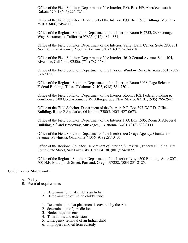Office of the Field Solicitor, Department of the Interior, P.O. Box 549, Aberdeen, south Dakota 57401 (605) 225-7254.

Office of the Field Solicitor, Department of the Interior, P.O. Box 1538, Billings, Montana 59103, (406) 245-6711.

Office of the Regional Solicitor, Department of the Interior, Room E-2753, 2800 cottage Way, Sacramento, California 95825, (916) 484-4331.

Office of the Field Solicitor, Department of the Interior, Valley Bank Center, Suite 280, 201 North Central Avenue, Phoenix, Arizona 85073. (602) 261-4758.

Office of the Field Solicitor, Department of the Interior, 3610 Central Avenue, Suite 104, Riverside, California 92506, (714) 787-1580.

Office of the Field Solicitor, Department of the Interior, Window Rock, Arizona 86615 (602) 871-5151.

Office of the Regional Solicitor, Department of the Interior, Room 3068, Page Belcher Federal Building, Tulsa, Oklahoma 74103, (918) 581-7501.

Office of the Field Solicitor, Department of the Interior, Room 7102, Federal building  $\&$ courthouse, 500 Gold Avenue, S.W. Albuquerque, New Mexico 87101, (505) 766-2547.

Office of the Field Solicitor, Department of the Interior, P.O. Box 397, W.C.D. Office Building, Route 2 Anadarko, Oklahoma 73005, (405) 427-0673.

Office of the Field Solicitor, Department of the Interior, P.O. Box 1505, Room 318,Federal Building, 5<sup>th</sup> and Broadway, Muskogee, Oklahoma 74401, (918) 683-3111.

Office of the Field Solicitor, Department of the Interior, c/o Osage Agency, Grandview Avenue, Pawhuska, Oklahoma 74056 (918) 287-3431.

Office of the Regional Solicitor, Department of Interior, Suite 6201, Federal Building, 125 South State Street, Salt Lake City, Utah 84138, (801)524-5877.

Office of the Regional Solicitor, Department of the Interior, Lloyd 500 Building, Suite 807, 500 N.E. Multnomah Street, Portland, Oregon 97232, (503) 231-2125.

#### Guidelines for State Courts

- A. Policy
- B. Pre-trial requirements
	- 1. Determination that child is an Indian
	- 2. Determination of Indian child's tribe
	- 1. Determination that placement is covered by the Act
	- 2. determination of jurisdiction
	- 3. Notice requirements
	- 4. Time limits and extensions
	- 5. Emergency removal of an Indian child
	- 6. Improper removal from custody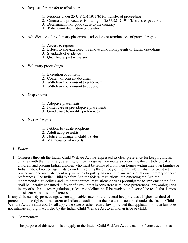- A. Requests for transfer to tribal court
	- 1. Petitions under 25 U.S.C.§ 1911(b) for transfer of proceeding
	- 2. Criteria and procedures for ruling on 25 U.S.C.§ 1911(b) transfer petitions
	- 3. Determination of good cause to the contrary
	- 4. Tribal court declination of transfer
- A. Adjudication of involuntary placements, adoptions or terminations of parental rights
	- 1. Access to reports
	- 2. Efforts to alleviate need to remove child from parents or Indian custodians
	- 3. Standards of evidence
	- 4. Qualified expert witnesses
- A. Voluntary proceedings
	- 1. Execution of consent
	- 2. Content of consent document
	- 3. Withdrawal of consent to placement
	- 4. Withdrawal of consent to adoption
- A. Dispositions
	- 1. Adoptive placements
	- 2. Foster care or pre-adoptive placements
	- 3. Good cause to modify preferences
- A. Post-trial rights
	- 1. Petition to vacate adoptions
	- 2. Adult adoptee rights
	- 3. Notice of change in child's status
	- 4. Maintenance of records

# *A. Policy*

1. Congress through the Indian Child Welfare Act has expressed its clear preference for keeping Indian children with their families, deferring to tribal judgement on matters concerning the custody of tribal children, and placing Indian children who must be removed from their homes within their own families or Indian tribes. Proceedings in state courts involving the custody of Indian children shall follow strict procedures and meet stringent requirements to justify any result in any individual case contrary to these preferences. The Indian Child Welfare Act, the federal regulations implementing the Act, the recommended guidelines and nay state statutes, regulations or rules promulgated to implement the Act shall be liberally construed in favor of a result that is consistent with these preferences. Any ambiguities in any of such statutes, regulations, rules or guidelines shall be resolved in favor of the result that is most consistent with these preferences.

In any child custody proceedings where applicable state or other federal law provides a higher standard of protection to the rights of the parent or Indian custodian than the protection accorded under the Indian Child Welfare Act, the state court shall apply the state or other federal law, provided that application of that law does not infringe any right accorded by the Indian Child Welfare Act to an Indian tribe or child.

#### A. Commentary

The purpose of this section is to apply to the Indian Child Welfare Act the canon of construction that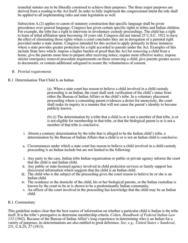remedial statutes are to be liberally construed to achieve their purposes. The three major purposes are derived from a reading to the Act itself. In order to fully implement the congressional intent the rule shall be applied to all implementing rules and state legislation as well.

Subsection A.(2) applies to canon of statutory construction that specific language shall be given precedence over general language. Congress has given certain specific rights to tribes and Indian children. For example, the tribe has a right to intervene in involuntary custody proceedings. The child has a right to learn of tribal affiliation upon becoming 18 years old. Congress did not intend 25 U.S.C. 1921 to have the effect of eliminating those rights where a court concludes they are in derogation of a parental right provided under a state statute. Congress intended for this section to apply primarily in those instances where a state provides greater protection for a right accorded to parents under the Act. Examples of this include State laws which: impose a higher burden of proof than the Act for removing a child from a home, give the parents more time to prepare after receiving notice, require more effective notice, impose stricter emergency removal procedure requirements on those removing a child, give parents greater access to documents, or contain additional safeguard to assure the voluntariness of consent.

# *B. Pretrial requirements*

B.1. Determination That Child Is an Indian

(a). When a state court has reason to believe a child involved in a child custody proceeding is an Indian, the court shall seek verification of the child's status from either the Bureau of Indian Affairs or the child's tribe. In a voluntary placement proceeding where a consenting parent evidences a desire for anonymity, the court shall make its inquiry in a manner that will not cause the parent's identity to become publicly known.

(b) (i) The determination by a tribe that a child is or is not a member of that tribe, is or is not eligible for membership in that tribe, or that the biological parent is or is not a member of that tribe is conclusive.

- i. Absent a contrary determination by the tribe that is alleged to be the Indian child's tribe, a determination by the Bureau of Indian Affairs that a child is or is not an Indian child is conclusive.
- a. Circumstances under which a state court has reason to believe a child involved in a child custody proceeding is an Indian include but are not limited to the following:
- i. Any party to the case, Indian tribe Indian organization or public or private agency informs the court that the child is and Indian child.
- ii. Any public or state-licensed agency involved in child protection services or family support has discovered information which suggests that the child is an Indian child.
- iii. The child who is the subject of the proceeding gives the court reason to believe he or she is an Indian child.
- iv. The residence or the domicile of the child, his or her biological parents, or the Indian custodian is known by the court to be or is shown to be a predominantly Indian community.
- v. An officer of the court involved in the proceeding has knowledge that the child may be an Indian child.

#### B.1. Commentary

This guideline makes clear that the best source of information on whether a particular child is Indian is the tribe itself. It is the tribe's prerogative to determine membership criteria. *Cohen, Handbook of Federal Indian Law*  133 (1942). Because of the Bureau of Indian Affair's long experience in determining who is an Indian for a variety of purposes, its determinations are also entitled to great deference. See, e.g., United States v Sandoval,<br>231, U.S.28, 27 (1913). 231, U.S.28, 27 (1913).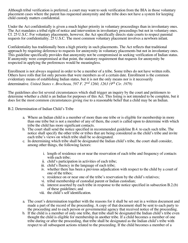Although tribal verification is preferred, a court may want to seek verification from the BIA in those voluntary placement cases where the parent has requested anonymity and the tribe does not have a system for keeping child custody matters confidential.

Under the Act confidentially is given a much higher priority in voluntary proceedings than in involuntary ones. The Act mandates a tribal right of notice and intervention in involuntary proceedings but not in voluntary ones. Cf. 25 U.S.C. For voluntary placements, however, the Act specifically directs state courts to respect parental requests for confidentiality. 25 U.S.C. The most common voluntary placement involves a newborn infant.

Confidentiality has traditionally been a high priority in such placements. The Act reflects that traditional approach by requiring deference to requests for anonymity in voluntary placements but not in involuntary ones. This guideline specifically provides that anonymity not be compromised in seeking verification of Indian status. If anonymity were compromised at that point, the statutory requirement that requests for anonymity be respected in applying the preferences would be meaningless.

Enrollment is not always required in order to be a member of a tribe. Some tribes do not have written rolls. Others have rolls that list only persons that were members as of a certain date. Enrollment is the common evidentiary means of establishing Indian status, but it is not the only means nor is it necessarily determinative. *United States v. Brocheau, 597 F. 2<sup>nd</sup> 1260, 1263 (9<sup>th</sup> Cir. 1979)* 

The guidelines also list several circumstances which shall trigger an inquiry by the court and petitioners to determine whether a child is an Indian for purposes of this Act. This listing is not intended to be complete, but it does list the most common circumstances giving rise to a reasonable belief that a child may be an Indian.

#### B.2. Determination of Indian Child's Tribe

- a. Where an Indian child is a member of more than one tribe or is eligible for membership in more than one tribe but is not a member of any of them, the court is called upon to determine with which tribe the child has more significant contacts.
- b. The court shall send the notice specified in recommended guideline B.4. to each such tribe. The notice shall specify the other tribe or tribes that are being considered as the child's tribe and invite each tribe's views on which tribe shall be so designated.
- c. In determining which tribe shall be designated the Indian child's tribe, the court shall consider, among other things, the following factors:
	- i. length of residence on or near the reservation of each tribe and frequency of contacts with each tribe;
	- ii. child's participation in activities of each tribe;
	- iii. child's fluency in the language of each tribe;
	- iv. whether there has been a previous adjudication with respect to the child by a court of one of the tribes;
	- v. residence on or near one of the tribe's reservation by the child's relatives;
	- vi. tribal membership of custodial parent or Indian custodian;
	- vii. interest asserted by each tribe in response to the notice specified in subsection B.2.(b) of these guidelines; and
	- viii. the child's self identification.
- a. The court's determination together with the reasons for it shall be set out in a written document and made a part of the record of the proceeding. A copy of that document shall be sent to each party to the proceeding and to each person or governmental agency that received notice of the proceeding.
- b. If the child is a member of only one tribe, that tribe shall be designated the Indian child's tribe even thought the child is eligible for membership in another tribe. If a child becomes a member of one tribe during or after the proceeding, that tribe shall be designated as the Indian child's tribe with respect to all subsequent actions related to the proceeding. If the child becomes a member of a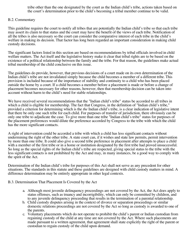tribe other than the one designated by the court as the Indian child's tribe, actions taken based on the court's determination prior to the child's becoming a tribal member continue to be valid.

#### B.2. Commentary

This guideline requires the court to notify all tribes that are potentially the Indian child's tribe so that each tribe may assert its claim to that status and the court may have the benefit of the views of each tribe. Notification of all the tribes is also necessary so the court can consider the comparative interest of each tribe in the child's welfare in making its decision. That factor has long been regarded an important consideration in making child custody decisions.

The significant factors listed in this section are based on recommendations by tribal officials involved in child welfare matters. The Act itself and the legislative history make it clear that tribal rights are to be based on the existence of a political relationship between the family and the tribe. For that reason, the guidelines make actual tribal membership of the child conclusive on this issue.

The guidelines do provide, however, that previous decisions of a court made on its own determination of the Indian child's tribe are not invalidated simply because the child becomes a member of a different tribe. This provision is included because of the importance of stability and continuity to a child who has been placed outside the home by a court. If a child becomes a member before a placement is made or before a change of placement becomes necessary for other reasons, however, then that membership decision can be taken into account without harm to the child's need for stable relationships.

We have received several recommendations that the "Indian child's tribe" status be accorded to all tribes in which a child is eligible for membership. The fact that Congress, in the definition of "Indian child's tribe," provided a criterion for determining which is the Indian child's tribe, is a clear indication of legislative intent *the* that there be only one such tribe for each child. For purposes of transfer of jurisdiction, there obviously can be only one tribe to adjudicate the case. To give more than one tribe "Indian child's tribe" status for purposes of the placement preferences would dilute the preference accorded by Congress to the tribe with which the child has the more significant contacts.

A right of intervention could be accorded a tribe with which a child has less significant contacts without undermining the right of the other tribe. A state court can, if it wishes and state law permits, permit intervention by more than one tribe. It could also give a second tribe preference in placement after attempts to place a child with a member of the first tribe or in a home or institution designated by the first tribe had proved unsuccessful. So long as the special rights of *the* Indian child's tribe are respected, giving special status to the tribe with the less significant contacts is not prohibited by the Act and may, in many instances, be a good way to comply with the spirit of the Act.

Determination of the Indian child's tribe for purposes of this Act shall not serve as any precedent for other situations. The standards in this statute and these guidelines are designed with child custody matters in mind. A difference determination may be entirely appropriate in other legal contexts.

#### B.3. Determination That Placement Is Covered by the Act

- a. Although most juvenile delinquency proceedings are not covered by the Act, the Act does apply to status offenses, such as truancy and incorrigibility, which can only be committed by children, and to any juvenile delinquency proceeding that results in the termination of a parental relationship.
- b. Child custody disputes arising in the context of divorce or separation proceedings or similar domestic relations proceedings are not covered by the Act so long as custody is awarded to one of the parents.
- c. Voluntary placements which do not operate to prohibit the child's parent or Indian custodian from regaining custody of the child at any time are not covered by the Act. Where such placements are made pursuant to a written agreement, that agreement shall state explicitly the right of the parent or custodian to regain custody of the child upon demand.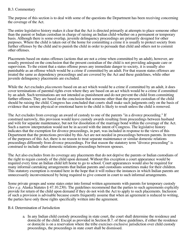# B.3. Commentary

The purpose of this section is to deal with some of the questions the Department has been receiving concerning the coverage of the Act.

The entire legislative history makes it clear that the Act is directed primarily at attempts to place someone other than the parent or Indian custodian in charge of raising an Indian child-whether on a permanent or temporary basis. Although there is some overlap, juvenile delinquency proceedings are primarily designed for other purposes. Where the child is taken out of the home for committing a crime it is usually to protect society from further offenses by the child and to punish the child in order to persuade that child and others not to commit other offenses.

Placements based on status offenses (actions that are not a crime when committed by an adult), however, are usually premised on the conclusion that the present custodian of the child is not providing adequate care or supervision. To the extent that a status offense poses any immediate danger to society, it is usually also punishable as an offense which would be a crime if committed by an adult. For that reason status offenses are treated the same as dependency proceedings and are covered by the Act and these guidelines, while other juvenile delinquency placements are excluded.

While the Act excludes *placements* based on an act which would be a crime if committed by an adult, it does cover terminations of parental rights even where they are based on an act which would be a crime if committed by an adult. Such terminations are not intended as punishment and do not prevent the child from committing further offenses. They are based on the conclusion that someone other than the present custodian of the child should be raising the child. Congress has concluded that courts shall make such judgments only on the basis of evidence that serious physical or emotional harm to the child is likely to result unless the child is removed.

The Act excludes from coverage an award of custody to one of the parents "in a divorce proceeding." If construed narrowly, this provision would leave custody awards resulting from proceedings between husband and wife for separate maintenance, but not for dissolution of the marriage bond within the coverage of the Act. Such a narrow interpretation would not be in accord with the intent of Congress. The legislative history indicates that the exemption for divorce proceedings, in part, was included in response to the views of this Department that the protections provided by this Act are not needed in proceedings between parents. In terms of the purposes of this Act, there is no reason to treat separate maintenance or similar domestic relations proceedings differently from divorce proceedings. For that reason the statutory term "divorce proceeding" is construed to include other domestic relations proceedings between spouses.

The Act also excludes from its coverage any placements that do not deprive the parents or Indian custodians of the right to regain custody of the child upon demand. Without this exception a court appearance would be required every time an Indian child left home to go to school. Court appearances would also be required for many informal caretaking arrangements that Indian parents and custodians sometimes make for their children. This statutory exemption is restated here in the hope that it will reduce the instances in which Indian parents are unnecessarily inconvenienced by being required to give consent in court to such informal arrangements.

Some private groups and some states enter into formal written agreements with parents for temporary custody (See  $e.g.$  Alaska Statutes  $\S 47.10.230$ ). The guidelines recommend that the parties to such agreements explicitly provide for return of the child upon demand if they do not wish the Act to apply to such placements. Inclusion of such a provision is advisable because courts frequently assume that when an agreement is reduced to writing, the parties have only those rights specifically written into the agreement.

#### B.4. Determination of Jurisdiction

a. In any Indian child custody proceeding in state court, the court shall determine the residence and domicile of the child. Except as provided in Section B.7. of these guidelines, if either the residence or domicile is on a reservation where the tribe exercises exclusive jurisdiction over child custody proceedings, the proceedings in state court shall be dismissed.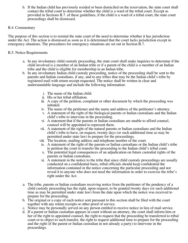b. If the Indian child has previously resided or been domiciled on the reservation, the state court shall contact the tribal court to determine whether the child is a ward of the tribal court. Except as provided in Sections B.7. of these guidelines, if the child is a ward of a tribal court, the state court proceedings shall be dismissed.

# B.4. Commentary

The purpose of this section is to remind the state court of the need to determine whether it has jurisdiction under the Act. The action is dismissed as soon as it is determined that the court lacks jurisdiction except in emergency situations. The procedures for emergency situations are set out in Section B.7.

### B.5. Notice Requirements

- a. In any involuntary child custody proceeding, the state court shall make inquiries to determine if the child involved is a member of an Indian tribe or if a parent of the child is a member of an Indian tribe and the child is eligible for membership in an Indian tribe.
- b. In any involuntary Indian child custody proceeding, notice of the proceeding shall be sent to the parents and Indian custodians, if any, and to any tribes that may be the Indian child's tribe by registered mail with return receipt requested. The notice shall be written in clear and understandable language and include the following information:
	- i. The name of the Indian child.
	- ii. His or her tribal affiliation.
	- iii. A copy of the petition, complaint or other document by which the proceeding was initiated.
	- iv. The name of the petitioner and the name and address of the petitioner's attorney.
	- v. A statement of the right of the biological parents or Indian custodians and the Indian child's tribe to intervene in the proceeding.
	- vi. A statement that if the parents or Indian custodians are unable to afford counsel, counsel will be appointed to represent them.
	- vii. A statement of the right of the natural parents or Indian custodians and the Indian child's tribe to have, on request, twenty days (or such additional time as may be permitted under state law) to prepare for the proceedings.
	- viii. The location, mailing address and telephone number of the court.
	- ix. A statement of the right of the parents or Indian custodians or the Indian child's tribe to petition the court to transfer the proceeding to the Indian child's tribal court.
	- x. The potential legal consequences of an adjudication on future custodial rights of the parents or Indian custodians.
	- xi. A statement in the notice to the tribe that since child custody proceedings are usually conducted on a confidential basis, tribal officials should keep confidential the information contained in the notice concerning the particular proceeding and not reveal it to anyone who does not need the information in order to exercise the tribe's right under the Act.
- a. The tribe, parents or Indian custodians receiving notice from the petitioner of the pendency of a child custody proceeding has the right, upon request, to be granted twenty days (or such additional time as may be permitted under state law) from the date upon which the notice was received to prepare for the proceeding.
- b. The original or a copy of each notice sent pursuant to this section shall be filed with the court together with any return receipts or other proof of service.
- c. Notice may be personally served on any person entitled to receive notice in lieu of mail service.
- d. If a parent or Indian custodian appears in court without an attorney, the court shall inform him or her of the right to appointed counsel, the right to request that the proceeding be transferred to tribal court or to object to such transfer, the right to request additional time to prepare for the proceeding and the right (if the parent or Indian custodian in not already a party) to intervene in the proceedings.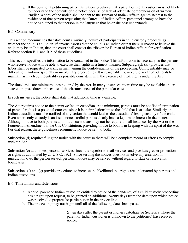e. If the court or a petitioning party has reason to believe that a parent or Indian custodian is not likely to understand the contents of the notice because of lack of adequate comprehension of written English, a copy of the notice shall be sent to the Bureau of Indian Affairs agency nearest to the residence of that person requesting that Bureau of Indian Affairs personnel arrange to have the notice explained to that person in the language that he or she best understands.

# B.5. Commentary

This section recommends that state courts routinely inquire of participants in child custody proceedings whether the child is an Indian. If anyone asserts that the child is an Indian or that there is reason to believe the child may be an Indian, then the court shall contact the tribe or the Bureau of Indian Affairs for verification. Refer to section B.1. and B.2. of these guidelines.

This section specifies the information to be contained in the notice. This information is necessary so the persons who receive notice will be able to exercise their rights in a timely manner. Subparagraph (xi) provides that tribes shall be requested to assist in maintaining the confidentiality of the proceeding. Confidentiality may be difficult to maintain-especially in involuntary proceedings. It is reasonable, however, to ask tribal officials to maintain as much confidentiality as possible consistent with the exercise of tribal rights under the Act.

The time limits are minimum ones required by the Act. In many instances, more time may be available under state court procedures or because of the circumstances of the particular case.

In such instances, the notice shall state that additional time is available.

The Act requires notice to the parent *or* Indian custodian. At a minimum, parents must be notified if termination of parental rights is a potential outcome since it is their relationship to the child that is at stake. Similarly, the Indian custodians must be notified of any action that could lead to the custodians' losing custody of the child. Even where only custody is an issue, noncustodial parents clearly have a legitimate interest in the matter. Although notice to both parents and Indian custodians may not be required in all instances by the Act or the Fourteenth Amendment to the U.s. Constitution, providing notice to both is in keeping with the spirit of the Act. For that reason, these guidelines recommend notice be sent to both.

Subsection (d) requires filing the notice with the court so there will be a complete record of efforts to comply with the Act.

Subsection (e) authorizes personal services since it is superior to mail services and provides greater protection or rights as authorized by 25 U.S.C. 1921. Since serving the notices does not involve any assertion of jurisdiction over the person served, personal notices may be served without regard to state or reservation boundaries.

Subsections (f) and (g) provide procedures to increase the likelihood that rights are understood by parents and Indian custodians.

#### B.6. Time Limits and Extensions

- a. A tribe, parent or Indian custodian entitled to notice of the pendency of a child custody proceeding has a right, upon request, to be granted an additional twenty days from the date upon which notice was received to prepare for participation in the proceeding.
- b. The proceeding may not begin until all of the following dates have passed:

(i) ten days after the parent or Indian custodian (or Secretary where the parent or Indian custodian is unknown to the petitioner) has received notice;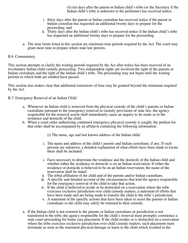(ii) ten days after the parent or Indian child's tribe (or the Secretary if the Indian child's tribe is unknown to the petitioner) has received notice;

- i. thirty days after the parent or Indian custodian has received notice if the parent or Indian custodian has requested an additional twenty days to prepare for the proceeding; and
- ii. Thirty days after the Indian child's tribe has received notice if the Indian child's tribe has requested an additional twenty days to prepare for the proceeding.
- a. The time limits listed in this section are minimum time periods required by the Act. The court may grant more time to prepare where state law permits.

#### B.6. Commentary

This section attempts to clarify the waiting periods required by the Act after notice has been received of an involuntary Indian child custody proceeding. Two independent rights are involved-the right of the parents or Indian custodians and the right of the Indian child's tribe. The proceeding may not begin until the waiting periods to which both are entitled have passed.

This section also makes clear that additional extensions of time may be granted beyond the minimum required by the Act.

B.7. Emergency Removal of an Indian Child

- a. Whenever an Indian child is removed from the physical custody of the child's parents or Indian custodians pursuant to the emergency removal or custody provisions of state law, the agency responsible for the removal action shall immediately cause an inquiry to be made as to the residence and domicile of the child.
- b. When a court order authorizing continued emergency physical custody is sought, the petition for that order shall be accompanied by an affidavit containing the following information:
	- (i) The name, age and last known address of the Indian child.
	- i. The name and address of the child's parents and Indian custodians, if any. If such persons are unknown, a detailed explanation of what efforts have been made to locate them shall be included.
	- i. Facts necessary to determine the residence and the domicile of the Indian child and whether either the residence or domicile is on an Indian reservation. If either the residence or domicile is believed to be on an Indian reservation, the name of the reservation shall be stated.
	- ii. The tribal affiliation of the child and of the parents and/or Indian custodians.
	- iii. A specific and detailed account of the circumstances that lead the agency responsible for the emergency removal of the child to take that action.
	- iv. If the child is believed to reside or be domiciled on a reservation where the tribe exercises exclusive jurisdiction over child custody matters, a statement of efforts that have been made and are being made to transfer the child to the tribe's jurisdiction.
	- v. A statement of the specific actions that have been taken to assist the parents or Indian custodians so the child may safely be returned to their custody.
- a. If the Indian child is not restored to the parents or Indian custodians or jurisdiction is not transferred to the tribe, the agency responsible for the child's removal must promptly commence a state court proceeding for foster care placement. If the child resides or is domiciled on a reservation where the tribe exercises exclusive jurisdiction over child custody matters, such placement must terminate as soon as the imminent physical damage or harm to the child which resulted in the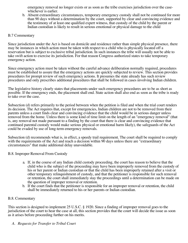emergency removal no longer exists or as soon as the tribe exercises jurisdiction over the casewhichever is earlier.

b. Absent extraordinary circumstances, temporary emergency custody shall not be continued for more than 90 days without a determination by the court, supported by clear and convincing evidence and the testimony of at least one qualified expert witness, that custody of the child by the parent or Indian custodian is likely to result in serious emotional or physical damage to the child

# B.7 Commentary

Since jurisdiction under the Act is based on domicile and residence rather than simple physical presence, there may be instances in which action must be taken with respect to a child who is physically located off a reservation but is subject to exclusive tribal jurisdiction. In such instances the tribe will usually not be able to take swift action to exercise its jurisdiction. For that reason Congress authorized states to take temporary emergency action.

Since emergency action must be taken without the careful advance deliberation normally required, procedures must be established to assure that the emergency actions are quickly subjected to review. This section provides procedures for prompt review of such emergency actions. It presumes the state already has such review procedures and only prescribes additional procedures that shall be followed in cases involving Indian children.

The legislative history clearly states that placements under such emergency procedures are to be as short as possible. If the emergency ends, the placement shall end. State action shall also end as soon as the tribe is ready to take over the case.

Subsection (d) refers primarily to the period between when the petition is filed and when the trial court renders its decision. The Act requires that, except for emergencies, Indian children are not to be removed from their parents unless a court finds clear and convincing evidence that the child would be in serious danger unless removed from the home. Unless there is some kind of time limit on the length of an "emergency removal" (that is, any removal not made pursuant to a finding by the court that there is clear and convincing evidence that continued parental custody would make serious physical or emotional harm likely), the safeguards of the Act could be evaded by use of long-term emergency removals.

Subsection (d) recommends what is, in effect, a speedy trail requirement. The court shall be required to comply with the requirements of the Act and reach a decision within 90 days unless there are "extraordinary" circumstances" that make additional delay unavoidable.

#### B.8. Improper Removal From Custody

- a. If, in the course of any Indian child custody proceeding, the court has reason to believe that the child who is the subject of the proceeding may have been improperly removed from the custody of his or her parent or Indian custodian or that the child has been improperly retained after a visit or other temporary relinquishment of custody, and that the petitioner is responsible for such removal or retention, the court shall immediately stay the proceedings until a determination can be made on the question of improper removal or retention.
- b. If the court finds that the petitioner is responsible for an improper removal or retention, the child shall be immediately returned to his or her parents or Indian custodian.

#### B.8. Commentary

This section is designed to implement 25 U.S.C. § 1920. Since a finding of improper removal goes to the jurisdiction of the court to hear the case at all, this section provides that the court will decide the issue as soon as it arises before proceeding further on his merits.

*A. Requests for Transfer to Tribal Court*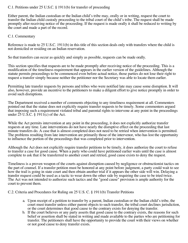# C.1. Petitions under 25 U.S.C. § 1911(b) for transfer of proceeding

Either parent, the Indian custodian or the Indian child's tribe may, orally or in writing, request the court to transfer the Indian child custody proceeding to the tribal court of the child's tribe. The request shall be made promptly after receiving notice of the proceeding. If the request is made orally it shall be reduced to writing by the court and made a part of the record.

# C.1. Commentary

Reference is made to 25 U.S.C. 1911(b) in this title of this section deals only with transfers where the child is not domiciled or residing on an Indian reservation.

So that transfers can occur as quickly and simply as possible, requests can be made orally.

This section specifies that requests are to be made promptly after receiving notice of the proceeding. This is a modification of the timeliness requirement that appears in the earlier version of the guidelines. Although the statute permits proceedings to be commenced even before actual notice, those parties do not lose their right to request a transfer simply because neither the petitioner nor the Secretary was able to locate them earlier.

Permitting late transfer requests by persons and tribes who were notified late may cause some disruption. It will also, however, provide an incentive to the petitioners to make a diligent effort to give notice promptly in order to avoid such disruptions.

The Department received a number of comments objecting to any timeliness requirement at all. Commenters pointed out that the statue does not explicitly require transfer requests to be timely. Some commenters argued that imposing such a requirement violated tribal and parental rights to intervene at any point in the proceedings under 25 U.S.C. § 1911(c) of the Act.

While the Act permits intervention at any point in the proceeding, it does not explicitly authorize transfer requests at any time. Late interventions do not have nearly the disruptive effect on the proceeding that last minute transfers do. A case that is almost completed does not need to be retried when intervention is permitted. The problems resulting from late intervention are primarily those of the intervenor, who has lost the opportunity to influence the portion of the proceedings that was completed prior to intervention.

Although the Act does not explicitly require transfer petitions to be timely, it does authorize the court to refuse to transfer a case for good cause. When a party who could have petitioned earlier waits until the case is almost complete to ask that it be transferred to another court and retried, good cause exists to deny the request.

Timeliness is a proven weapon of the courts against disruption caused by negligence or obstructionist tactics on the part of counsel. If a transfer petition must be honored at any point before judgment, a party could wait to see how the trail is going in state court and then obtain another trial if it appears the other side will win. Delaying a transfer request could be used as a tactic to wear down the other side by requiring the case to be tried twice. The Act was not intended to authorize such tactics and the "good cause" provision is ample authority for the court to prevent them.

C.2. Criteria and Procedures for Ruling on 25 U.S. C. § 1911(b) Transfer Petitions

- a. Upon receipt of a petition to transfer by a parent, Indian custodian or the Indian child's tribe, the court must transfer unless either parent objects to such transfer, the tribal court declines jurisdiction, or the court determines that good cause to the contrary exists for denying the transfer.
- b. If the court believes or any party asserts that good cause to the contrary exists, the reasons for such belief or assertion shall be stated in writing and made available to the parties who are petitioning for transfer. The petitioners shall have the opportunity to provide the court with their views on whether or not good cause to deny transfer exists.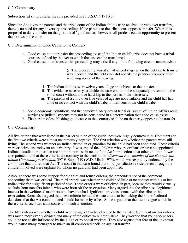# C.2. Commentary

Subsection (a) simply states the rule provided in 25 U.S.C. § 1911(b).

Since the Act gives the parents and the tribal court of the Indian child's tribe an absolute veto over transfers, there is no need for any adversary proceedings if the parents or the tribal court opposes transfer. Where it is proposed to deny transfer on the grounds of "good cause," however, all parties need an opportunity to present their views to the court.

### C.3. Determination of Good Cause to the Contrary

- a. Good cause not to transfer the proceeding exists if the Indian child's tribe does not have a tribal court as defined by the Act to which the case can be transferred.
- b. Good cause not to transfer this proceeding may exist if any of the following circumstances exists:

(i) The proceeding was at an advanced stage when the petition to transfer was received and the petitioner did not file the petition promptly after receiving notice of the hearing.

- i. The Indian child is over twelve years of age and objects to the transfer.
- ii. The evidence necessary to decide the case could not be adequately presented in the tribal court without undue hardship to the parties or the witnesses.
- iii. The parents of a child over five years of age are not available and the child has had little or no contact with the child's tribe or members of the child's tribe.
- a. Socio-economic conditions and the perceived adequacy of tribal or Bureau of Indian Affairs social services or judicial systems may not be considered in a determination that good cause exists.
- b. The burden of establishing good cause to the contrary shall be on the party opposing the transfer.

#### C.3. Commentary

All five criteria that were listed in the earlier version of the guidelines were highly controversial. Comments on the first two criteria were almost unanimously negative. The first criterion was whether the parents were still living. The second was whether an Indian custodian or guardian for the child had been appointed. These criteria were criticized as irrelevant and arbitrary. It was argued that children who are orphans or have no appointed Indian custodian or guardian are no more nor less in need of the Act's protections that other children. It was also pointed out that these criteria are contrary to the decision in *Wisconsin Potwatomies of the Hannahville*  Indian Community v. Houston, 397 F. Supp. 719 (W.D. Misch 1973), which was explicitly endorsed by the committee that drafted that Act. The court in that case found that tribal jurisdiction existed even through the children involved were orphans for whom no guardian had been appointed.

Although there was some support for the third and fourth criteria, the preponderance of the comment concerning them was critical. The third criteria was whether the child had little or no contact with his or her Indian tribe for a significant period of time. These criteria were criticized, in part, because they would virtually exclude from transfers infants who were born off the reservation. Many argued that the tribe has a legitimate interest in the welfare of members who have not had significant previous contact with the tribe or the reservation. Some also argued that these criteria invited the state courts to be making the kind of cultural decisions that the Act contemplated should be made by tribes. Some argued that the use of vague words in these criteria accorded state courts too much discretion.

The fifth criteria was whether a child over the age of twelve objected to the transfer. Comment on this criteria was much more evenly divided and many of the critics were ambivalent. They worried that young teenagers could be too easily influenced by the judge or by social workers. They also argued that fear of the unknown would cause many teenagers to make an ill-considered decision against transfer.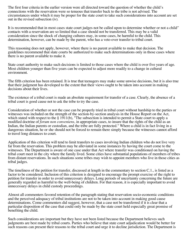The first four criteria in the earlier version were all directed toward the question of whether the child's connections with the reservation were so tenuous that transfer back to the tribe is not advised. The circumstances under which it may be proper for the state court to take such considerations into account are set out in the revised subsection (iv).

It is recommended that in most cases state court judges not be called upon to determine whether or not a child'' contacts with a reservation are so limited that a case should not be transferred. This may be a valid consideration since the shock of changing cultures may, in some cases, be harmful to the child. This determination, however, can be made by the parent, who has a veto-over transfer to tribal court.

This reasoning does not apply, however, where there is no parent available to make that decision. The guidelines recommend that state courts be authorized to make such determinations only in those cases where there is no parent available to make it.

State court authority to make such decisions is limited to those cases where the child is over five years of age. Most children younger than five years can be expected to adjust more readily to a change in cultural environment.

The fifth criterion has been retained. It is true that teenagers may make some unwise decisions, but it is also true that their judgment has developed to the extent that their views ought to be taken into account in making decisions about their lives.

The existence of a tribal court is made an absolute requirement for transfer of a case. Clearly, the absence of a tribal court is good cause not to ask the tribe to try the case.

Consideration of whether or not the case can be properly tried in tribal court without hardship to the parties or witnesses was included on the strength of the section-by-section analysis in the House Report on the Act, which stated with respect to the § 1911(b), "The subsection is intended to permit a State court to apply a modified doctrine of *forum non conveniens*, in appropriate cases, to insure that the rights of the child as an Indian, the Indian parents or custodian, and the tribe are fully protected." Where a child is in fact living in a dangerous situation, he or she should not be forced to remain there simply because the witnesses cannot afford to travel long distances to court.

Application of this criterion will tend to limit transfers to cases involving Indian children who do not live very far from the reservation. This problem may be alleviated in some instances by having the court come to the witnesses. The Department is aware of one case under that Act where transfer was conditioned on having the tribal court meet in the city where the family lived. Some cities have substantial populations of members of tribes from distant reservations. In such situations some tribes may wish to appoint members who live in those cities as tribal judges.

The timeliness of the petition for transfer, discussed at length in the commentary to section C.1., is listed as a factor to be considered. Inclusion of this criterion is designed to encourage the prompt exercise of the right to petition for transfer in order to avoid unnecessary delays. Long periods of uncertainty concerning the future are generally regarded as harmful to the well-being of children. For that reason, it is especially important to avoid unnecessary delays in child custody proceedings.

Almost all commenters favored retention of the paragraph stating that reservation socio-economic conditions and the perceived adequacy of tribal institutions are not to be taken into account in making good cause determinations. Come commenters did suggest, however, that a case not be transferred if it is clear that a particular disposition of the case that could only be made by the state court held especially great promise of benefiting the child.

Such considerations are important but they have not been listed because the Department believes such judgments are best made by tribal courts. Parties who believe that state court adjudication would be better for such reasons can present their reasons to the tribal court and urge it to decline jurisdiction. The Department is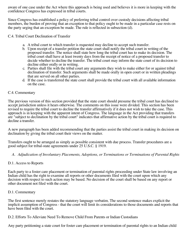aware of one case under the Act where this approach is being used and believes it is more in keeping with the confidence Congress has expressed in tribal courts.

Since Congress has established a policy of preferring tribal control over custody decisions affecting tribal members, the burden of proving that an exception to that policy ought to be made in a particular case rests on the party urging that an exception be made. The rule is reflected in subsection (d).

C.4. Tribal Court Declination of Transfer

- a. A tribal court to which transfer is requested may decline to accept such transfer.
- b. Upon receipt of a transfer petition the state court shall notify the tribal court in writing of the proposed transfer. The notice shall state how long the tribal court has to make its decision. The tribal court shall have at least twenty days from the receipt of notice of a proposed transfer to decide whether to decline the transfer. The tribal court may inform the state court of its decision to decline either orally or in writing.
- c. Parties shall file with the tribal court any arguments they wish to make either for or against tribal declination of transfer. Such arguments shall be made orally in open court or in written pleadings that are served on all other parties.
- d. If the case is transferred the state court shall provide the tribal court with all available information on the case.

# C.4. Commentary

The previous version of this section provided that the state court should presume the tribal court has declined to accept jurisdiction unless it hears otherwise. The comments on this issue were divided. This section has been revised to require the tribal court to decline the transfer affirmatively if it does not wish to take the case. This approach is in keeping with the apparent intent of Congress. The language in the Act providing that transfers are "subject to declination by the tribal court" indicates that affirmative action by the tribal court is required to decline a transfer.

A new paragraph has been added recommending that the parties assist the tribal court in making its decision on declination by giving the tribal court their views on the matter.

Transfers ought to be arranged as simply as possible consistent with due process. Transfer procedures are a good subject for tribal-state agreements under 25 U.S.C. § 1919.

- *A. Adjudication of Involuntary Placements, Adoptions, or Terminations or Terminations of Parental Rights*
- D.1. Access to Reports

Each party to a foster care placement or termination of parental rights proceeding under State law involving an Indian child has the right to examine all reports or other documents filed with the court upon which any decision with respect to such action may be based. No decision of the court shall be based on any report or other document not filed with the court.

#### D.1. Commentary

The first sentence merely restates the statutory language verbatim. The second sentence makes explicit the implicit assumption of Congress - that the court will limit its considerations to those documents and reports that have been filed with the court.

D.2. Efforts To Alleviate Need To Remove Child From Parents or Indian Custodians

Any party petitioning a state court for foster care placement or termination of parental rights to an Indian child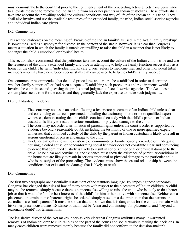must demonstrate to the court that prior to the commencement of the proceeding active efforts have been made to alleviate the need to remove the Indian child from his or her parents or Indian custodians. These efforts shall take into account the prevailing social and cultural conditions and way of life of the Indian child's tribe. They shall also involve and use the available resources of the extended family, the tribe, Indian social service agencies and individual Indian care givers.

# D.2. Commentary

This section elaborates on the meaning of "breakup of the Indian family" as used in the Act. "Family breakup" is sometimes used as a synonym for divorce. In the context of the statue, however, it is clear that Congress meant a situation in which the family is unable or unwilling to raise the child in a manner that is not likely to endanger the child's emotional or physical health.

This section also recommends that the petitioner take into account the culture of the Indian child's tribe and use the resources of the child's extended family and tribe in attempting to help the family function successfully as a home for the child. The term "individual Indian care givers" refers to medicine men and other individual tribal members who may have developed special skills that can be used to help the child's family succeed.

One commenter recommended that detailed procedures and criteria be established in order to determine whether family support efforts had been adequate. Establishing such procedures and requirements would involve the court in second-guessing the professional judgment of social service agencies. The Act does not contemplate such a role for the courts and they generally lack the expertise to make such judgments.

# D.3. Standards of Evidence

- a. The court may not issue an order effecting a foster care placement of an Indian child unless clear and convincing evidence is presented, including the testimony of one or more qualified expert witnesses, demonstrating that the child/s continued custody with the child's parents or Indian custodian is likely to result in serious emotional or physical damage to the child.
- b. The court may not order a termination of parental rights unless the court's order is supported by evidence beyond a reasonable doubt, including the testimony of one or more qualified expert witnesses, that continued custody of the child by the parent or Indian custodian is likely to result in serious emotional or physical damage to the child.
- c. Evidence that only shows the existence of community or family poverty, crowded or inadequate housing, alcohol abuse, or nonconforming social behavior does not constitute clear and convincing evidence that continued custody is likely to result in serious emotional or physical damage to the child. To be clear and convincing, the evidence must show the existence of particular conditions in the home that are likely to result in serious emotional or physical damage to the particular child who is the subject of the proceeding. The evidence must show the casual relationship between the conditions that exist and the damage that is likely to result.

#### D.3. Commentary

The first two paragraphs are essentially restatement of the statutory language. By imposing these standards, Congress has changed the rules of law of many states with respect to the placement of Indian children. A child may not be removed simply because there is someone else willing to raise the child who is likely to do a better job or that it would be "in the best interests of the child" for him or her to live with someone else. Neither can a placement or termination of parental rights be ordered simply based on a determination that the parents or custodians are "unfit parents." It must be shown that it is shown that it is dangerous for the child to remain with his or her present custodians. Evidence of that must be "clear and convincing" for placements and "beyond a reasonable doubt" for terminations.

The legislative history of the Act makes it pervasively clear that Congress attributes many unwarranted removals of Indian children to cultural bias on the part of the courts and social workers making the decisions. In many cases children were removed merely because the family did not conform to the decision-maker's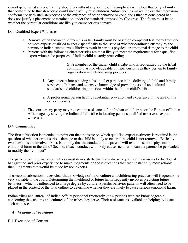stereotype of what a proper family should be-without any testing of the implicit assumption that only a family that conformed to that stereotype could successfully raise children. Subsection (c) makes it clear that mere nonconformance with such stereotypes or the existence of other behavior or conditions that are considered bad does not justify a placement or termination under the standards imposed by Congress. The focus must be on whether the particular conditions are likely to cause serious damage.

### D.4. Qualified Expert Witnesses

- a. Removal of an Indian child from his or her family must be based on competent testimony from one or more experts qualified to speak specifically to the issue of whether continued custody by the parents or Indian custodians is likely to result in serious physical or emotional damage to the child.
- b. Persons with the following characteristics are most likely to meet the requirements for a qualified expert witness for purposes of Indian child custody proceedings:

(i) A member of the Indian child's tribe who is recognized by the tribal community as knowledgeable in tribal customs as they pertain to family organization and childrearing practices.

- i. Any expert witness having substantial experience in the delivery of child and family services to Indians, and extensive knowledge of prevailing social and cultural standards and childrearing practices within the Indian child's tribe.
- i. A professional person having substantial education and experience in the area of his or her specialty.
- a. The court or any party may request the assistance of the Indian child's tribe or the Bureau of Indian Affairs agency serving the Indian child's tribe in locating persons qualified to serve as expert witnesses.

#### D.4. Commentary

The first subsection is intended to point out that the issue on which qualified expert testimony is required is the question of whether or not serious damage to the child is likely to occur if the child is not removed. Basically two questions are involved. First, is it likely that the conduct of the parents will result in serious physical or emotional harm to the child? Second, if such conduct will likely cause such harm, can the parents be persuaded to modify their conduct?

The party presenting an expert witness must demonstrate that the witness is qualified by reason of educational background and prior experience to make judgments on those questions that are substantially more reliable than judgments that would be made by non-experts.

The second subsection makes clear that knowledge of tribal culture and childrearing practices will frequently be very valuable to the court. Determining the likelihood of future harm frequently involves predicting future behavior – which is influenced to a large degree by culture. Specific behavior patterns will often need to be placed in the context of the total culture to determine whether they are likely to cause serious emotional harm.

Indian tribes and Bureau of Indian Affairs personnel frequently know persons who are knowledgeable concerning the customs and cultures of the tribes they serve. Their assistance is available in helping to locate such witnesses.

# *A. Voluntary Proceedings*

# E.1. Execution of Consent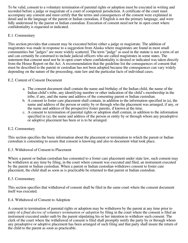To be valid, consent to a voluntary termination of parental rights or adoption must be executed in writing and recorded before a judge or magistrate of a court of competent jurisdiction. A certificate of the court must accompany any consent and must certify that the terms and consequences of the consent were explained in detail and in the language of the parent or Indian custodian, if English is not the primary language, and were fully understood by the parent or Indian custodian. Execution of consent need not be in open court where confidentiality is requested or indicated.

# E.1. Commentary

This section provides that consent may be executed before either a judge or magistrate. The addition of magistrates was made in response to a suggestion from Alaska where magistrates are found in most small communities but "judges" are more widely scattered. The term "judge" as used in the statute is not a term of art and can certainly be construed to include judicial officers who are called magistrates in some states. The statement that consent need not be in open court where confidentiality is desired or indicated was taken directly from the House Report on the Act. A recommendation that the guideline list the consequences of consent that must be described to the parent or custodian has not been adopted because the consequences can vary widely depending on the nature of the proceeding, state law and the particular facts of individual cases.

# E.2. Content of Consent Document

- a. The consent document shall contain the name and birthday of the Indian child, the name of the Indian child's tribe, any identifying number or other indication of the child's membership in the tribe, if any, and the name and address of the consenting parent or Indian custodian.
- b. A consent to foster care placement shall contain, in addition to the information specified in (a), the name and address of the person or entity by or through who the placement was arranged, if any, or the name and address of the prospective foster parents, if known at the time.
- c. A consent to termination of parental rights or adoption shall contain, in addition to the information specified in (a), the name and address of the person or entity by or through whom any preadoptive or adoptive placement has been or is to be arranged.

#### E.2. Commentary

This section specifies the basic information about the placement or termination to which the parent or Indian custodian is consenting to assure that consent is knowing and also to document what took place.

#### E.3. Withdrawal of Consent to Placement

Where a parent or Indian custodian has consented to a foster care placement under state law, such consent may be withdrawn at any time by filing, in the court where consent was executed and filed, an instrument executed by the parent or Indian custodian. When a parent or Indian custodian withdraws consent to foster care placement, the child shall as soon as is practicable be returned to that parent or Indian custodian.

#### E.3. Commentary

This section specifies that withdrawal of consent shall be filed in the same court where the consent document itself was executed.

#### E.4. Withdrawal of Consent to Adoption

A consent to termination of parental rights or adoption may be withdrawn by the parent at any time prior to entry of a *final decree of voluntary termination or adoption* by filing in the court where the consent is filed an instrument executed under oath by the parent stipulating his or her intention to withdraw such consent. The clerk of the court where the withdrawal of consent is filed shall promptly notify the party by or through whom any preadoptive or adoptive placement has been arranged of such filing and that party shall insure the return of the child to the parent as soon as practicable.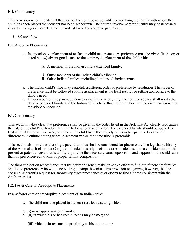### E.4. Commentary

This provision recommends that the clerk of the court be responsible for notifying the family with whom the child has been placed that consent has been withdrawn. The court's involvement frequently may be necessary since the biological parents are often not told who the adoptive parents are.

# *A. Dispositions*

### F.1. Adoptive Placements

- a. In any adoptive placement of an Indian child under state law preference must be given (in the order listed below) absent good cause to the contrary, to placement of the child with:
	- a. A member of the Indian child's extended family;
	- i. Other members of the Indian child's tribe; or
	- ii. Other Indian families, including families of single parents.
- a. The Indian child's tribe may establish a different order of preference by resolution. That order of preference must be followed so long as placement is the least restrictive setting appropriate to the child's needs.
- b. Unless a consenting parent evidences a desire for anonymity, the court or agency shall notify the child's extended family and the Indian child's tribe that their members will be given preference in the adoption decision.

#### F.1. Commentary

This section makes clear that preference shall be given in the order listed in the Act. The Act clearly recognizes the role of the child's extended family in helping to raise children. The extended family should be looked to first when it becomes necessary to remove the child from the custody of his or her parents. Because of differences in culture among tribes, placement within the same tribe is preferable.

This section also provides that single parent families shall be considered for placements. The legislative history of the Act makes it clear that Congress intended custody decisions to be made based on a consideration of the present or potential custodian's ability to provide the necessary care, supervision and support for the child rather than on preconceived notions of proper family composition.

The third subsection recommends that the court or agenda make an active effort to find out if there are families entitled to preference who would be willing to adopt the child. This provision recognizes, however, that the consenting parent's request for anonymity takes precedence over efforts to find a home consistent with the Act's priorities.

#### F.2. Foster Care or Preadoptive Placements

In any foster care or preadoptive placement of an Indian child:

- a. The child must be placed in the least restrictive setting which
- a. (i) most approximates a family;
- b. (ii) in which his or her special needs may be met; and
	- (iii) which is in reasonable proximity to his or her home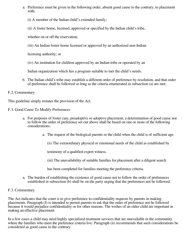- a. Preference must be given in the following order, absent good cause to the contrary, to placement with:
	- (i) A member of the Indian child's extended family;
	- (ii) A foster home, licensed, approved or specified by the Indian child's tribe,
	- whether on or off the reservation;
	- (iii) An Indian foster home licensed or approved by an authorized non-Indian
	- licensing authority; or
	- (iv) An institution for children approved by an Indian tribe or operated by an

Indian organization which has a program suitable to met the child's needs.

b. The Indian child's tribe may establish a different order of preference by resolution, and that order of preference shall be followed so long as the criteria enumerated in subsection (a) are met.

# F.2. Commentary

This guideline simply restates the provision of the Act.

- F.3. Good Cause To Modify Preferences
	- a. For purposes of foster care, preadoptive or adoptive placement, a determination of good cause not to follow the order of preference set out above shall be based on one or more of the following considerations:
		- a. The request of the biological parents or the child when the child is of sufficient age.
			- (ii) The extraordinary physical or emotional needs of the child as established by

testimony of a qualified expert witness.

- (iii) The unavailability of suitable families for placement after a diligent search
- has been completed for families meeting the preference criteria.
- a. The burden of establishing the existence of good cause not to follow the order of preferences established in subsection  $(b)$  shall be on the party urging that the preferences not be followed.

# F.3. Commentary

The Act indicates that the court is to give preference to confidentiality requests by parents in making placements. Paragraph (I) is intended to permit parents to ask that the order of preference not be followed because it would prejudice confidentiality or for other reasons. The wishes of an older child are important in making an effective placement.

In a few cases a child may need highly specialized treatment services that are unavailable in the community where the families who meet the preference criteria live. Paragraph (ii) recommends that such considerations be considered as good cause to the contrary.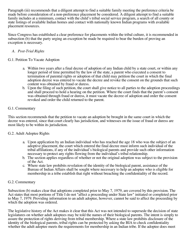Paragraph (iii) recommends that a diligent attempt to find a suitable family meeting the preference criteria be made before consideration of a non-preference placement be considered. A diligent attempt to find a suitable family includes at a minimum, contact with the child's tribal social service program, a search of all county or state listings of available Indian homes and contact with nationally known Indian programs with available placement resources.

Since Congress has established a clear preference for placements within the tribal culture, it is recommended in subsection (b) that the party urging an exception be made be required to bear the burden of proving an exception is necessary.

# *A. Post-Trial Rights*

# G.1. Petition To Vacate Adoption

- a. Within two years after a final decree of adoption of any Indian child by a state court, or within any longer period of time permitted by the law of the state, a parent who executed a consent to termination of parental rights or adoption of that child may petition the court in which the final adoption decree was entered to vacate the decree and revoke the consent on the grounds that such content was obtained by fraud or duress.
- b. Upon the filing of such petition, the court shall give notice to all parties to the adoption proceedings and shall proceed to hold a hearing on the petition. Where the court finds that the parent's consent was obtained through fraud or duress, it must vacate the decree of adoption and order the consent revoked and order the child returned to the parent.

# G.1. Commentary

This section recommends that the petition to vacate an adoption be brought in the same court in which the decree was entered, since that court clearly has jurisdiction, and witnesses on the issue of fraud or duress are most likely to be within its jurisdiction.

#### G.2. Adult Adoptee Rights

- a. Upon application by an Indian individual who has reached the age 18 who was the subject of an adoptive placement, the court which entered the final decree must inform such individual of the tribal affiliations, if any of the individual's biological parents and provide such other information necessary to protect any rights flowing from the individual's tribal relationship.
- b. The section applies regardless of whether or not the original adoption was subject to the provision of the Act.
- c. Where state law prohibits revelation of the identity of the biological parent, assistance of the Bureau of Indian Affairs shall be sought where necessary to help an adoptee who is eligible for membership in a tribe establish that right without breaching the confidentiality of the record.

#### G.2. Commentary

Subsection (b) makes clear that adoptions completed prior to May 7, 1979, are covered by this provision. The Act states that most portions of Title I do not "affect a proceeding under State law" initiated or completed prior to May 7, 1979. Providing information to an adult adoptee, however, cannot be said to affect the proceeding by which the adoption was ordered.

The legislative history of the Act makes it clear that this Act was not intended to supersede the decision of state legislatures on whether adult adoptees may be told the names of their biological parents. The intent is simply to assure the protection of rights deriving from tribal membership. Where a state law prohibits disclosure of the identity of the biological parents, tribal rights can be protected by asking the BIA to check confidentiality whether the adult adoptee meets the requirements for membership in an Indian tribe. If the adoptee does meet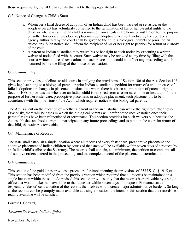those requirements, the BIA can certify that fact to the appropriate tribe.

# G.3. Notice of Change in Child's Status

- a. Whenever a final decree of adoption of an Indian child has been vacated or set aside, or the adoptive parent has voluntarily consented to the termination of his or her parental rights to the child, or whenever an Indian child is removed from a foster care home or institution for the purpose of further foster care, preadoptive placement, or adoptive placement, notice by the court or an agency authorized by the court shall be given to the child's biological parents or prior Indian custodians. Such notice shall inform the recipient of his or her right to petition for return of custody of the child.
- b. A parent or Indian custodian may waive his or her right to such notice by executing a written waiver of notice filed with the court. Such waiver may be revoked at any time by filing with the court a written notice of revocation, but such revocation would not affect any proceeding which occurred before the filing of the notice of revocation.

# G.3. Commentary

This section provides guidelines to aid courts in applying the provisions of Section 106 of the Act. Section 106 gives legal standing to a biological parent or prior Indian custodian to petition for return of a child in cases of failed adoptions or changes in placement in situations where there has been a termination of parental rights. Section 106(b) provides the whenever an Indian child is removed from a foster care home or institution for the purpose of further foster care, preadoptive placement, or adoptive placement, such placement is to be in accordance with the provisions of the Act – which requires notice to the biological parents.

The Act is silent on the question of whether a parent or Indian custodian can waive the right to further notice. Obviously, there will be cases in which the biological parents will prefer not to receive notice once their parental rights have been relinquished or terminated. This section provides for such waivers but, because the Act establishes an absolute right to participate in any future proceedings and to petition the court for return of the child, the waiver is revocable.

#### G.4. Maintenance of Records

The state shall establish a single location where all records of every foster care, preadoptive placement and adoptive placement of Indian children by courts of that state will be available within seven days of a request by an Indian child's tribe or the Secretary. The records shall contain, at a minimum, the petition or complaint, all substantive orders entered in the proceeding, and the complete record of the placement determination.

#### G.4. Commentary

This section of the guidelines provides a procedure for implementing the provisions of 25 U.S. C. § 1915(e). This section has been modified from the previous version which required that all records be maintained in a single location within the state. As revised this section provides only that the records be retrievable by a single office that would make them available to the requester within seven days of a request. For some states (especially Alaska) centralization of the records themselves would create major administrative burdens. So long as the records can be promptly made available at a single location, the intent of this section that the records be readily available will be satisfied.

# Forrest J. Gerrard,

*Assistant Secretary, Indian Affairs*

November 16, 1979.